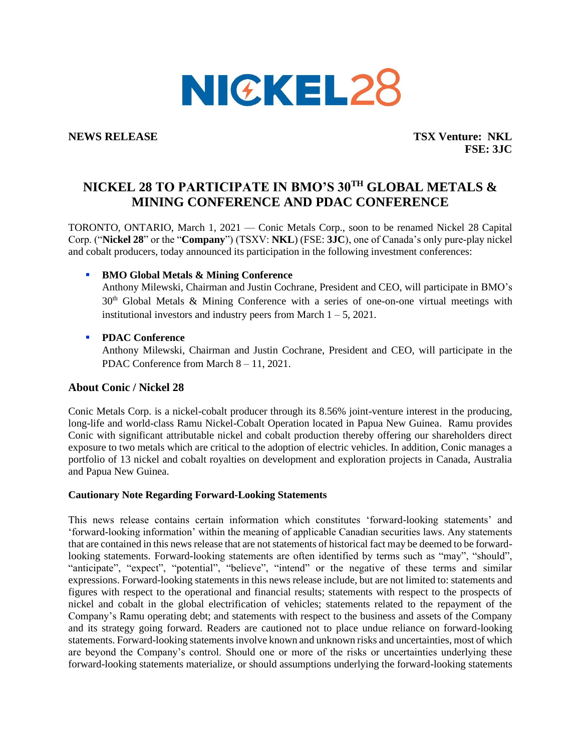

**NEWS RELEASE TSX Venture: NKL FSE: 3JC**

# **NICKEL 28 TO PARTICIPATE IN BMO'S 30TH GLOBAL METALS & MINING CONFERENCE AND PDAC CONFERENCE**

TORONTO, ONTARIO, March 1, 2021 — Conic Metals Corp., soon to be renamed Nickel 28 Capital Corp. ("**Nickel 28**" or the "**Company**") (TSXV: **NKL**) (FSE: **3JC**), one of Canada's only pure-play nickel and cobalt producers, today announced its participation in the following investment conferences:

# **BMO Global Metals & Mining Conference**

Anthony Milewski, Chairman and Justin Cochrane, President and CEO, will participate in BMO's  $30<sup>th</sup>$  Global Metals & Mining Conference with a series of one-on-one virtual meetings with institutional investors and industry peers from March  $1 - 5$ , 2021.

# ▪ **PDAC Conference**

Anthony Milewski, Chairman and Justin Cochrane, President and CEO, will participate in the PDAC Conference from March 8 – 11, 2021.

### **About Conic / Nickel 28**

Conic Metals Corp. is a nickel-cobalt producer through its 8.56% joint-venture interest in the producing, long-life and world-class Ramu Nickel-Cobalt Operation located in Papua New Guinea. Ramu provides Conic with significant attributable nickel and cobalt production thereby offering our shareholders direct exposure to two metals which are critical to the adoption of electric vehicles. In addition, Conic manages a portfolio of 13 nickel and cobalt royalties on development and exploration projects in Canada, Australia and Papua New Guinea.

#### **Cautionary Note Regarding Forward-Looking Statements**

This news release contains certain information which constitutes 'forward-looking statements' and 'forward-looking information' within the meaning of applicable Canadian securities laws. Any statements that are contained in this news release that are not statements of historical fact may be deemed to be forwardlooking statements. Forward-looking statements are often identified by terms such as "may", "should", "anticipate", "expect", "potential", "believe", "intend" or the negative of these terms and similar expressions. Forward-looking statements in this news release include, but are not limited to: statements and figures with respect to the operational and financial results; statements with respect to the prospects of nickel and cobalt in the global electrification of vehicles; statements related to the repayment of the Company's Ramu operating debt; and statements with respect to the business and assets of the Company and its strategy going forward. Readers are cautioned not to place undue reliance on forward-looking statements. Forward-looking statements involve known and unknown risks and uncertainties, most of which are beyond the Company's control. Should one or more of the risks or uncertainties underlying these forward-looking statements materialize, or should assumptions underlying the forward-looking statements